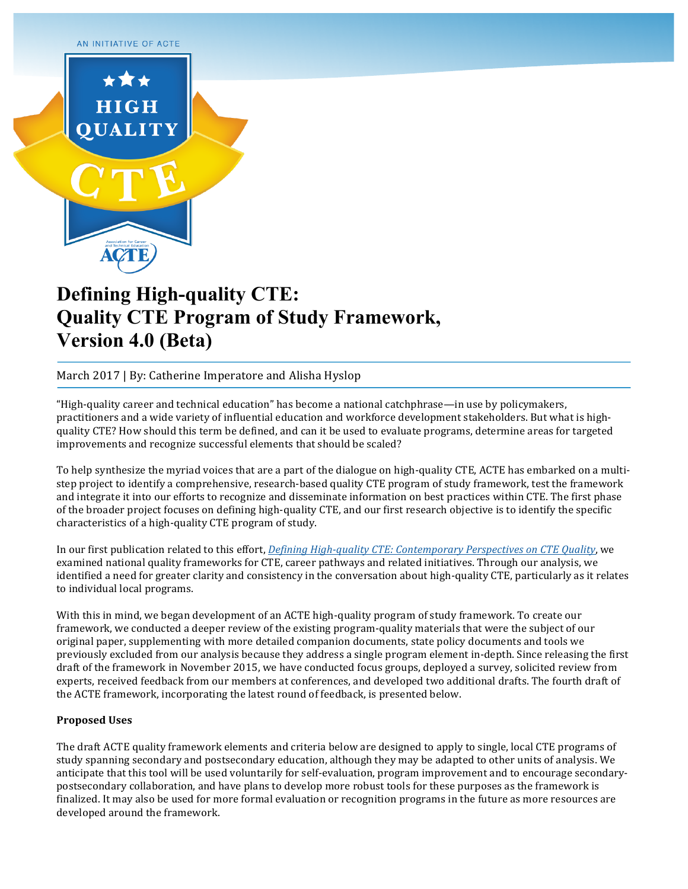#### AN INITIATIVE OF ACTE



# **Defining High-quality CTE: Quality CTE Program of Study Framework, Version 4.0 (Beta)**

March 2017 | By: Catherine Imperatore and Alisha Hyslop

"High-quality career and technical education" has become a national catchphrase—in use by policymakers, practitioners and a wide variety of influential education and workforce development stakeholders. But what is highquality CTE? How should this term be defined, and can it be used to evaluate programs, determine areas for targeted improvements and recognize successful elements that should be scaled?

To help synthesize the myriad voices that are a part of the dialogue on high-quality CTE, ACTE has embarked on a multistep project to identify a comprehensive, research-based quality CTE program of study framework, test the framework and integrate it into our efforts to recognize and disseminate information on best practices within CTE. The first phase of the broader project focuses on defining high-quality CTE, and our first research objective is to identify the specific characteristics of a high-quality CTE program of study.

In our first publication related to this effort, *Defining High-quality CTE: Contemporary Perspectives on CTE Quality*, we examined national quality frameworks for CTE, career pathways and related initiatives. Through our analysis, we identified a need for greater clarity and consistency in the conversation about high-quality CTE, particularly as it relates to individual local programs.

With this in mind, we began development of an ACTE high-quality program of study framework. To create our framework, we conducted a deeper review of the existing program-quality materials that were the subject of our original paper, supplementing with more detailed companion documents, state policy documents and tools we previously excluded from our analysis because they address a single program element in-depth. Since releasing the first draft of the framework in November 2015, we have conducted focus groups, deployed a survey, solicited review from experts, received feedback from our members at conferences, and developed two additional drafts. The fourth draft of the ACTE framework, incorporating the latest round of feedback, is presented below.

#### **Proposed Uses**

The draft ACTE quality framework elements and criteria below are designed to apply to single, local CTE programs of study spanning secondary and postsecondary education, although they may be adapted to other units of analysis. We anticipate that this tool will be used voluntarily for self-evaluation, program improvement and to encourage secondarypostsecondary collaboration, and have plans to develop more robust tools for these purposes as the framework is finalized. It may also be used for more formal evaluation or recognition programs in the future as more resources are developed around the framework.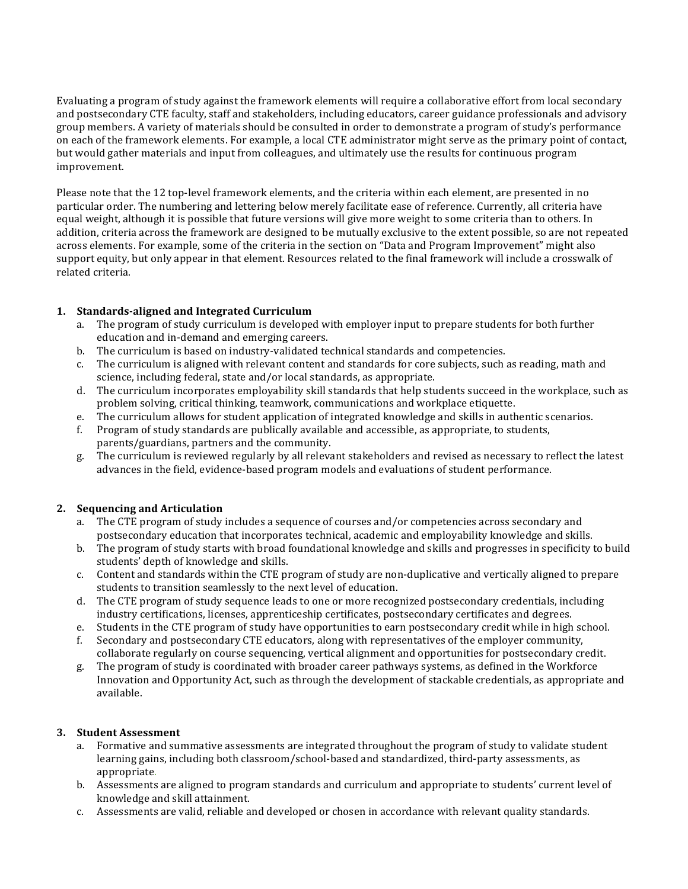Evaluating a program of study against the framework elements will require a collaborative effort from local secondary and postsecondary CTE faculty, staff and stakeholders, including educators, career guidance professionals and advisory group members. A variety of materials should be consulted in order to demonstrate a program of study's performance on each of the framework elements. For example, a local CTE administrator might serve as the primary point of contact, but would gather materials and input from colleagues, and ultimately use the results for continuous program improvement. 

Please note that the 12 top-level framework elements, and the criteria within each element, are presented in no particular order. The numbering and lettering below merely facilitate ease of reference. Currently, all criteria have equal weight, although it is possible that future versions will give more weight to some criteria than to others. In addition, criteria across the framework are designed to be mutually exclusive to the extent possible, so are not repeated across elements. For example, some of the criteria in the section on "Data and Program Improvement" might also support equity, but only appear in that element. Resources related to the final framework will include a crosswalk of related criteria.

# 1. Standards-aligned and Integrated Curriculum

- a. The program of study curriculum is developed with employer input to prepare students for both further education and in-demand and emerging careers.
- b. The curriculum is based on industry-validated technical standards and competencies.
- c. The curriculum is aligned with relevant content and standards for core subjects, such as reading, math and science, including federal, state and/or local standards, as appropriate.
- d. The curriculum incorporates employability skill standards that help students succeed in the workplace, such as problem solving, critical thinking, teamwork, communications and workplace etiquette.
- e. The curriculum allows for student application of integrated knowledge and skills in authentic scenarios.
- f. Program of study standards are publically available and accessible, as appropriate, to students, parents/guardians, partners and the community.
- g. The curriculum is reviewed regularly by all relevant stakeholders and revised as necessary to reflect the latest advances in the field, evidence-based program models and evaluations of student performance.

# **2. Sequencing and Articulation**

- a. The CTE program of study includes a sequence of courses and/or competencies across secondary and postsecondary education that incorporates technical, academic and employability knowledge and skills.
- b. The program of study starts with broad foundational knowledge and skills and progresses in specificity to build students' depth of knowledge and skills.
- c. Content and standards within the CTE program of study are non-duplicative and vertically aligned to prepare students to transition seamlessly to the next level of education.
- d. The CTE program of study sequence leads to one or more recognized postsecondary credentials, including industry certifications, licenses, apprenticeship certificates, postsecondary certificates and degrees.
- e. Students in the CTE program of study have opportunities to earn postsecondary credit while in high school.
- f. Secondary and postsecondary CTE educators, along with representatives of the employer community, collaborate regularly on course sequencing, vertical alignment and opportunities for postsecondary credit.
- g. The program of study is coordinated with broader career pathways systems, as defined in the Workforce Innovation and Opportunity Act, such as through the development of stackable credentials, as appropriate and available.

# **3. Student Assessment**

- a. Formative and summative assessments are integrated throughout the program of study to validate student learning gains, including both classroom/school-based and standardized, third-party assessments, as appropriate.
- b. Assessments are aligned to program standards and curriculum and appropriate to students' current level of knowledge and skill attainment.
- c. Assessments are valid, reliable and developed or chosen in accordance with relevant quality standards.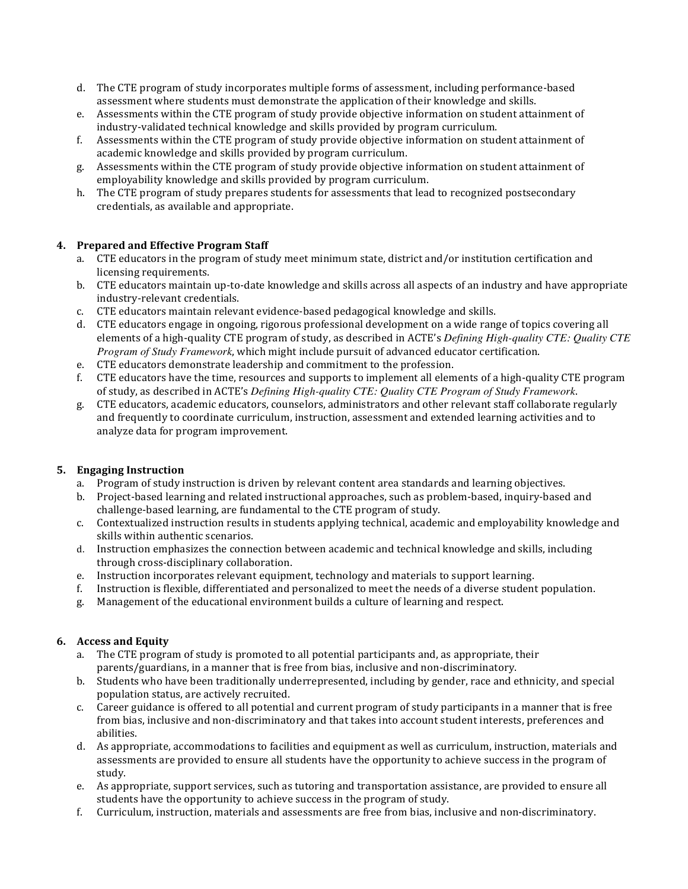- d. The CTE program of study incorporates multiple forms of assessment, including performance-based assessment where students must demonstrate the application of their knowledge and skills.
- e. Assessments within the CTE program of study provide objective information on student attainment of industry-validated technical knowledge and skills provided by program curriculum.
- f. Assessments within the CTE program of study provide objective information on student attainment of academic knowledge and skills provided by program curriculum.
- g. Assessments within the CTE program of study provide objective information on student attainment of employability knowledge and skills provided by program curriculum.
- h. The CTE program of study prepares students for assessments that lead to recognized postsecondary credentials, as available and appropriate.

#### **4.** Prepared and Effective Program Staff

- a. CTE educators in the program of study meet minimum state, district and/or institution certification and licensing requirements.
- b. CTE educators maintain up-to-date knowledge and skills across all aspects of an industry and have appropriate industry-relevant credentials.
- c. CTE educators maintain relevant evidence-based pedagogical knowledge and skills.
- d. CTE educators engage in ongoing, rigorous professional development on a wide range of topics covering all elements of a high-quality CTE program of study, as described in ACTE's *Defining High-quality CTE: Quality CTE Program of Study Framework*, which might include pursuit of advanced educator certification.
- e. CTE educators demonstrate leadership and commitment to the profession.
- f. CTE educators have the time, resources and supports to implement all elements of a high-quality CTE program of study, as described in ACTE's *Defining High-quality CTE: Quality CTE Program of Study Framework*.
- g. CTE educators, academic educators, counselors, administrators and other relevant staff collaborate regularly and frequently to coordinate curriculum, instruction, assessment and extended learning activities and to analyze data for program improvement.

# **5.** Engaging Instruction

- a. Program of study instruction is driven by relevant content area standards and learning objectives.
- b. Project-based learning and related instructional approaches, such as problem-based, inquiry-based and challenge-based learning, are fundamental to the CTE program of study.
- c. Contextualized instruction results in students applying technical, academic and employability knowledge and skills within authentic scenarios.
- d. Instruction emphasizes the connection between academic and technical knowledge and skills, including through cross-disciplinary collaboration.
- e. Instruction incorporates relevant equipment, technology and materials to support learning.
- f. Instruction is flexible, differentiated and personalized to meet the needs of a diverse student population.
- g. Management of the educational environment builds a culture of learning and respect.

# **6.** Access and Equity

- a. The CTE program of study is promoted to all potential participants and, as appropriate, their parents/guardians, in a manner that is free from bias, inclusive and non-discriminatory.
- b. Students who have been traditionally underrepresented, including by gender, race and ethnicity, and special population status, are actively recruited.
- c. Career guidance is offered to all potential and current program of study participants in a manner that is free from bias, inclusive and non-discriminatory and that takes into account student interests, preferences and abilities.
- d. As appropriate, accommodations to facilities and equipment as well as curriculum, instruction, materials and assessments are provided to ensure all students have the opportunity to achieve success in the program of study.
- e. As appropriate, support services, such as tutoring and transportation assistance, are provided to ensure all students have the opportunity to achieve success in the program of study.
- f. Curriculum, instruction, materials and assessments are free from bias, inclusive and non-discriminatory.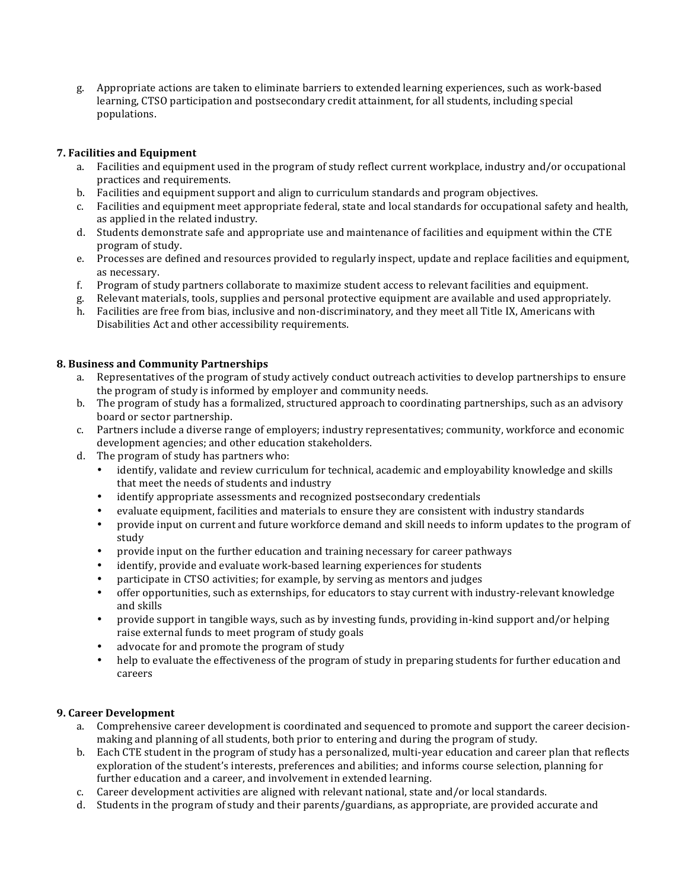g. Appropriate actions are taken to eliminate barriers to extended learning experiences, such as work-based learning, CTSO participation and postsecondary credit attainment, for all students, including special populations.

# **7. Facilities and Equipment**

- a. Facilities and equipment used in the program of study reflect current workplace, industry and/or occupational practices and requirements.
- b. Facilities and equipment support and align to curriculum standards and program objectives.
- c. Facilities and equipment meet appropriate federal, state and local standards for occupational safety and health, as applied in the related industry.
- d. Students demonstrate safe and appropriate use and maintenance of facilities and equipment within the CTE program of study.
- e. Processes are defined and resources provided to regularly inspect, update and replace facilities and equipment, as necessary.
- f. Program of study partners collaborate to maximize student access to relevant facilities and equipment.
- g. Relevant materials, tools, supplies and personal protective equipment are available and used appropriately.
- h. Facilities are free from bias, inclusive and non-discriminatory, and they meet all Title IX, Americans with Disabilities Act and other accessibility requirements.

# **8. Business and Community Partnerships**

- a. Representatives of the program of study actively conduct outreach activities to develop partnerships to ensure the program of study is informed by employer and community needs.
- b. The program of study has a formalized, structured approach to coordinating partnerships, such as an advisory board or sector partnership.
- c. Partners include a diverse range of employers; industry representatives; community, workforce and economic development agencies; and other education stakeholders.
- d. The program of study has partners who:
	- identify, validate and review curriculum for technical, academic and employability knowledge and skills that meet the needs of students and industry
	- identify appropriate assessments and recognized postsecondary credentials
	- evaluate equipment, facilities and materials to ensure they are consistent with industry standards
	- provide input on current and future workforce demand and skill needs to inform updates to the program of study
	- provide input on the further education and training necessary for career pathways
	- identify, provide and evaluate work-based learning experiences for students
	- participate in CTSO activities; for example, by serving as mentors and judges
	- offer opportunities, such as externships, for educators to stay current with industry-relevant knowledge and skills
	- provide support in tangible ways, such as by investing funds, providing in-kind support and/or helping raise external funds to meet program of study goals
	- advocate for and promote the program of study
	- help to evaluate the effectiveness of the program of study in preparing students for further education and careers

#### **9. Career Development**

- a. Comprehensive career development is coordinated and sequenced to promote and support the career decisionmaking and planning of all students, both prior to entering and during the program of study.
- b. Each CTE student in the program of study has a personalized, multi-year education and career plan that reflects exploration of the student's interests, preferences and abilities; and informs course selection, planning for further education and a career, and involvement in extended learning.
- c. Career development activities are aligned with relevant national, state and/or local standards.
- d. Students in the program of study and their parents/guardians, as appropriate, are provided accurate and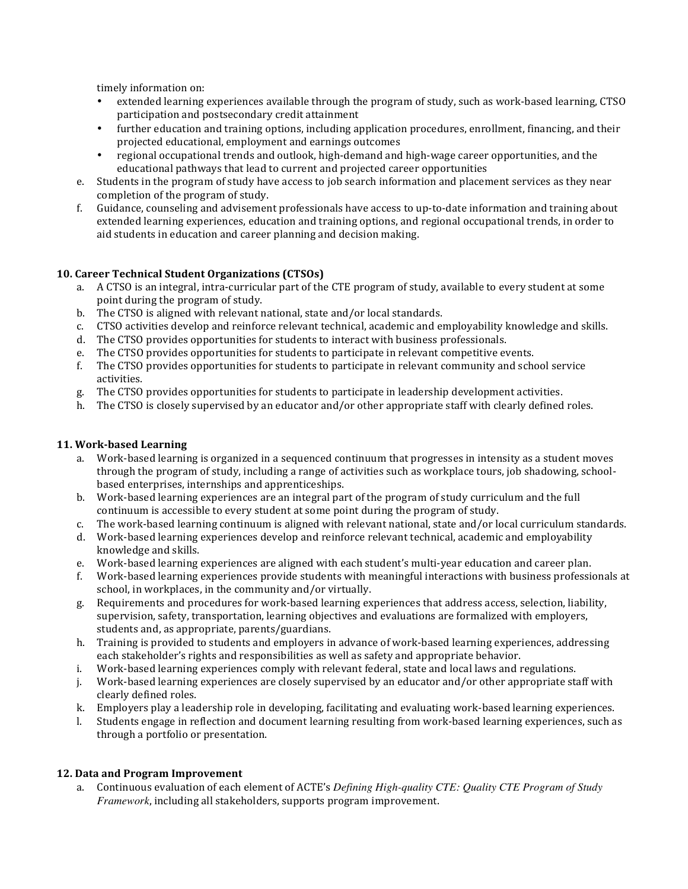timely information on:

- extended learning experiences available through the program of study, such as work-based learning, CTSO participation and postsecondary credit attainment
- further education and training options, including application procedures, enrollment, financing, and their projected educational, employment and earnings outcomes
- regional occupational trends and outlook, high-demand and high-wage career opportunities, and the educational pathways that lead to current and projected career opportunities
- e. Students in the program of study have access to job search information and placement services as they near completion of the program of study.
- f. Guidance, counseling and advisement professionals have access to up-to-date information and training about extended learning experiences, education and training options, and regional occupational trends, in order to aid students in education and career planning and decision making.

# **10. Career Technical Student Organizations (CTSOs)**

- a. A CTSO is an integral, intra-curricular part of the CTE program of study, available to every student at some point during the program of study.
- b. The CTSO is aligned with relevant national, state and/or local standards.
- c. CTSO activities develop and reinforce relevant technical, academic and employability knowledge and skills.
- d. The CTSO provides opportunities for students to interact with business professionals.
- e. The CTSO provides opportunities for students to participate in relevant competitive events.
- f. The CTSO provides opportunities for students to participate in relevant community and school service activities.
- g. The CTSO provides opportunities for students to participate in leadership development activities.
- h. The CTSO is closely supervised by an educator and/or other appropriate staff with clearly defined roles.

# **11. Work-based Learning**

- a. Work-based learning is organized in a sequenced continuum that progresses in intensity as a student moves through the program of study, including a range of activities such as workplace tours, job shadowing, schoolbased enterprises, internships and apprenticeships.
- b. Work-based learning experiences are an integral part of the program of study curriculum and the full continuum is accessible to every student at some point during the program of study.
- c. The work-based learning continuum is aligned with relevant national, state and/or local curriculum standards.
- d. Work-based learning experiences develop and reinforce relevant technical, academic and employability knowledge and skills.
- e. Work-based learning experiences are aligned with each student's multi-year education and career plan.
- f. Work-based learning experiences provide students with meaningful interactions with business professionals at school, in workplaces, in the community and/or virtually.
- g. Requirements and procedures for work-based learning experiences that address access, selection, liability, supervision, safety, transportation, learning objectives and evaluations are formalized with employers, students and, as appropriate, parents/guardians.
- h. Training is provided to students and employers in advance of work-based learning experiences, addressing each stakeholder's rights and responsibilities as well as safety and appropriate behavior.
- i. Work-based learning experiences comply with relevant federal, state and local laws and regulations.
- j. Work-based learning experiences are closely supervised by an educator and/or other appropriate staff with clearly defined roles.
- k. Employers play a leadership role in developing, facilitating and evaluating work-based learning experiences.
- l. Students engage in reflection and document learning resulting from work-based learning experiences, such as through a portfolio or presentation.

#### 12. Data and Program Improvement

a. Continuous evaluation of each element of ACTE's *Defining High-quality CTE: Quality CTE Program of Study Framework*, including all stakeholders, supports program improvement.